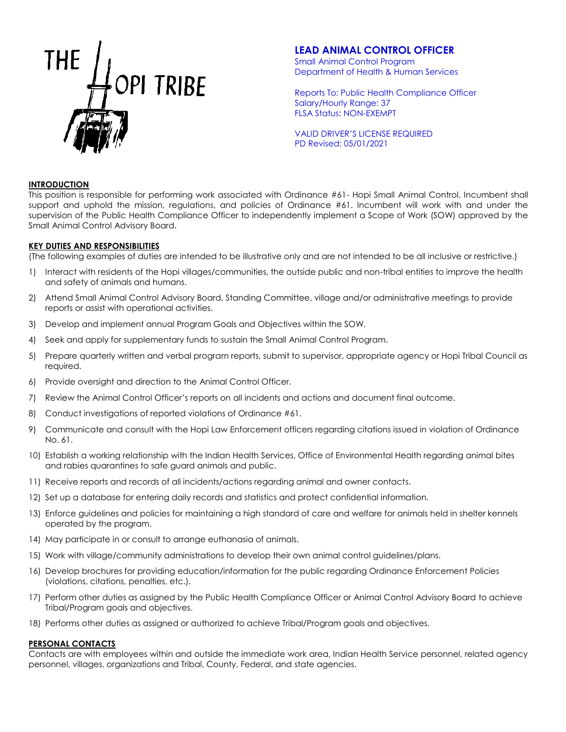

# **LEAD ANIMAL CONTROL OFFICER**

Small Animal Control Program Department of Health & Human Services

Reports To: Public Health Compliance Officer Salary/Hourly Range: 37 FLSA Status: NON-EXEMPT

VALID DRIVER'S LICENSE REQUIRED PD Revised: 05/01/2021

# **INTRODUCTION**

This position is responsible for performing work associated with Ordinance #61- Hopi Small Animal Control. Incumbent shall support and uphold the mission, regulations, and policies of Ordinance #61. Incumbent will work with and under the supervision of the Public Health Compliance Officer to independently implement a Scope of Work (SOW) approved by the Small Animal Control Advisory Board.

### **KEY DUTIES AND RESPONSIBILITIES**

(The following examples of duties are intended to be illustrative only and are not intended to be all inclusive or restrictive.)

- 1) Interact with residents of the Hopi villages/communities, the outside public and non-tribal entities to improve the health and safety of animals and humans.
- 2) Attend Small Animal Control Advisory Board, Standing Committee, village and/or administrative meetings to provide reports or assist with operational activities.
- 3) Develop and implement annual Program Goals and Objectives within the SOW.
- 4) Seek and apply for supplementary funds to sustain the Small Animal Control Program.
- 5) Prepare quarterly written and verbal program reports, submit to supervisor, appropriate agency or Hopi Tribal Council as required.
- 6) Provide oversight and direction to the Animal Control Officer.
- 7) Review the Animal Control Officer's reports on all incidents and actions and document final outcome.
- 8) Conduct investigations of reported violations of Ordinance #61.
- 9) Communicate and consult with the Hopi Law Enforcement officers regarding citations issued in violation of Ordinance No. 61.
- 10) Establish a working relationship with the Indian Health Services, Office of Environmental Health regarding animal bites and rabies quarantines to safe guard animals and public.
- 11) Receive reports and records of all incidents/actions regarding animal and owner contacts.
- 12) Set up a database for entering daily records and statistics and protect confidential information.
- 13) Enforce guidelines and policies for maintaining a high standard of care and welfare for animals held in shelter kennels operated by the program.
- 14) May participate in or consult to arrange euthanasia of animals.
- 15) Work with village/community administrations to develop their own animal control guidelines/plans.
- 16) Develop brochures for providing education/information for the public regarding Ordinance Enforcement Policies (violations, citations, penalties, etc.).
- 17) Perform other duties as assigned by the Public Health Compliance Officer or Animal Control Advisory Board to achieve Tribal/Program goals and objectives.
- 18) Performs other duties as assigned or authorized to achieve Tribal/Program goals and objectives.

### **PERSONAL CONTACTS**

Contacts are with employees within and outside the immediate work area, Indian Health Service personnel, related agency personnel, villages, organizations and Tribal, County, Federal, and state agencies.